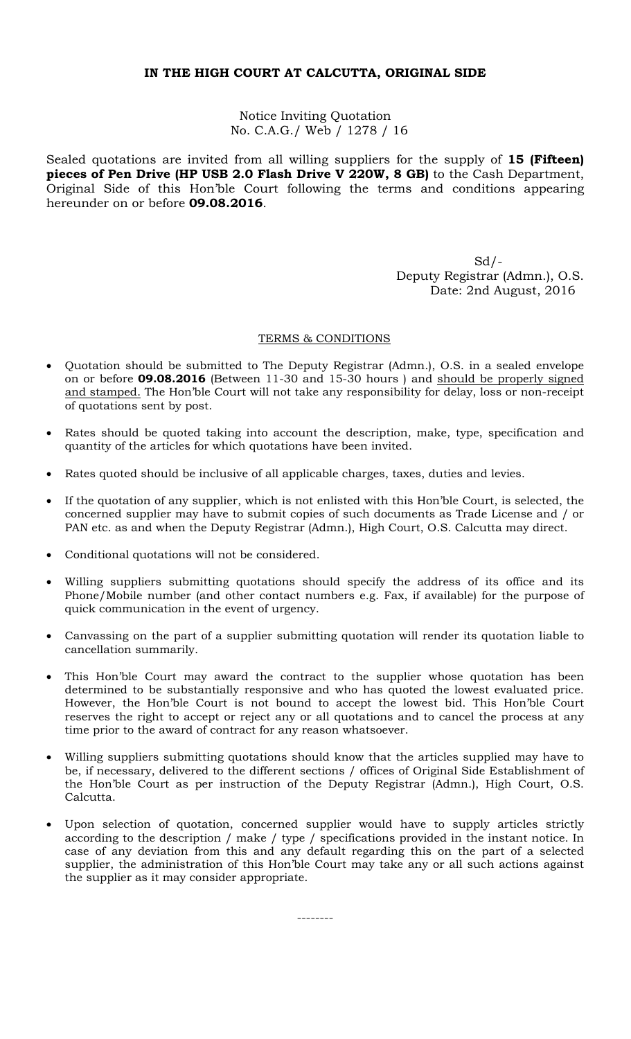# **IN THE HIGH COURT AT CALCUTTA, ORIGINAL SIDE**

Notice Inviting Quotation No. C.A.G./ Web / 1278 / 16

Sealed quotations are invited from all willing suppliers for the supply of **15 (Fifteen) pieces of Pen Drive (HP USB 2.0 Flash Drive V 220W, 8 GB)** to the Cash Department, Original Side of this Hon'ble Court following the terms and conditions appearing hereunder on or before **09.08.2016**.

 $Sd$  /  $-$  Deputy Registrar (Admn.), O.S. Date: 2nd August, 2016

### TERMS & CONDITIONS

- Quotation should be submitted to The Deputy Registrar (Admn.), O.S. in a sealed envelope on or before **09.08.2016** (Between 11-30 and 15-30 hours ) and should be properly signed and stamped. The Hon'ble Court will not take any responsibility for delay, loss or non-receipt of quotations sent by post.
- Rates should be quoted taking into account the description, make, type, specification and quantity of the articles for which quotations have been invited.
- Rates quoted should be inclusive of all applicable charges, taxes, duties and levies.
- If the quotation of any supplier, which is not enlisted with this Hon'ble Court, is selected, the concerned supplier may have to submit copies of such documents as Trade License and / or PAN etc. as and when the Deputy Registrar (Admn.), High Court, O.S. Calcutta may direct.
- Conditional quotations will not be considered.
- Willing suppliers submitting quotations should specify the address of its office and its Phone/Mobile number (and other contact numbers e.g. Fax, if available) for the purpose of quick communication in the event of urgency.
- Canvassing on the part of a supplier submitting quotation will render its quotation liable to cancellation summarily.
- This Hon'ble Court may award the contract to the supplier whose quotation has been determined to be substantially responsive and who has quoted the lowest evaluated price. However, the Hon'ble Court is not bound to accept the lowest bid. This Hon'ble Court reserves the right to accept or reject any or all quotations and to cancel the process at any time prior to the award of contract for any reason whatsoever.
- Willing suppliers submitting quotations should know that the articles supplied may have to be, if necessary, delivered to the different sections / offices of Original Side Establishment of the Hon'ble Court as per instruction of the Deputy Registrar (Admn.), High Court, O.S. Calcutta.
- Upon selection of quotation, concerned supplier would have to supply articles strictly according to the description / make / type / specifications provided in the instant notice. In case of any deviation from this and any default regarding this on the part of a selected supplier, the administration of this Hon'ble Court may take any or all such actions against the supplier as it may consider appropriate.

--------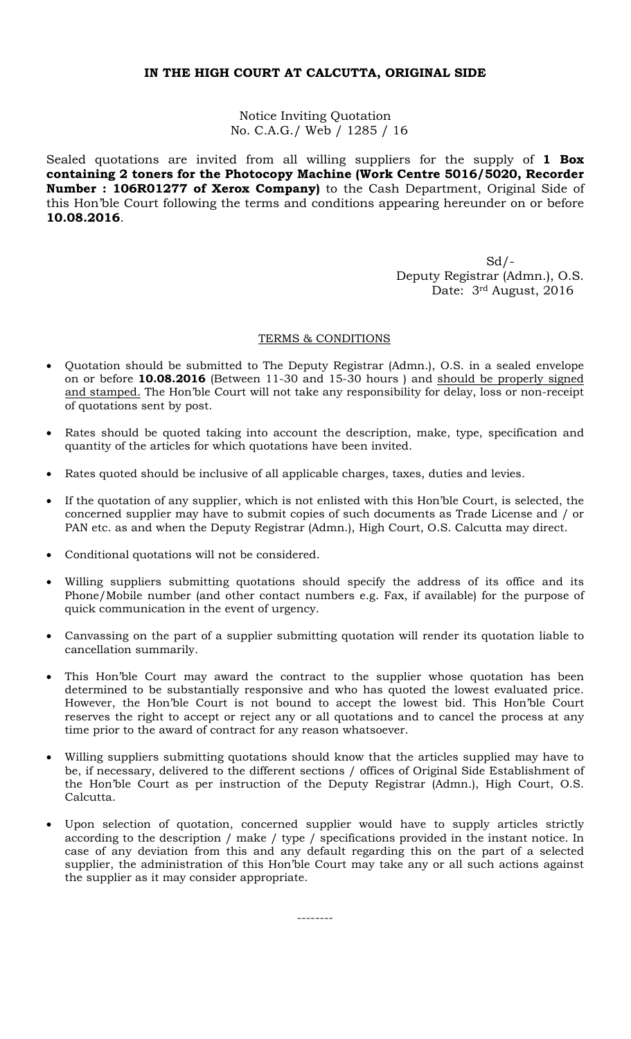# **IN THE HIGH COURT AT CALCUTTA, ORIGINAL SIDE**

Notice Inviting Quotation No. C.A.G./ Web / 1285 / 16

Sealed quotations are invited from all willing suppliers for the supply of **1 Box containing 2 toners for the Photocopy Machine (Work Centre 5016/5020, Recorder Number : 106R01277 of Xerox Company)** to the Cash Department, Original Side of this Hon'ble Court following the terms and conditions appearing hereunder on or before **10.08.2016**.

 $Sd$  /  $-$  Deputy Registrar (Admn.), O.S. Date: 3rd August, 2016

### TERMS & CONDITIONS

- Quotation should be submitted to The Deputy Registrar (Admn.), O.S. in a sealed envelope on or before **10.08.2016** (Between 11-30 and 15-30 hours ) and should be properly signed and stamped. The Hon'ble Court will not take any responsibility for delay, loss or non-receipt of quotations sent by post.
- Rates should be quoted taking into account the description, make, type, specification and quantity of the articles for which quotations have been invited.
- Rates quoted should be inclusive of all applicable charges, taxes, duties and levies.
- If the quotation of any supplier, which is not enlisted with this Hon'ble Court, is selected, the concerned supplier may have to submit copies of such documents as Trade License and / or PAN etc. as and when the Deputy Registrar (Admn.), High Court, O.S. Calcutta may direct.
- Conditional quotations will not be considered.
- Willing suppliers submitting quotations should specify the address of its office and its Phone/Mobile number (and other contact numbers e.g. Fax, if available) for the purpose of quick communication in the event of urgency.
- Canvassing on the part of a supplier submitting quotation will render its quotation liable to cancellation summarily.
- This Hon'ble Court may award the contract to the supplier whose quotation has been determined to be substantially responsive and who has quoted the lowest evaluated price. However, the Hon'ble Court is not bound to accept the lowest bid. This Hon'ble Court reserves the right to accept or reject any or all quotations and to cancel the process at any time prior to the award of contract for any reason whatsoever.
- Willing suppliers submitting quotations should know that the articles supplied may have to be, if necessary, delivered to the different sections / offices of Original Side Establishment of the Hon'ble Court as per instruction of the Deputy Registrar (Admn.), High Court, O.S. Calcutta.
- Upon selection of quotation, concerned supplier would have to supply articles strictly according to the description / make / type / specifications provided in the instant notice. In case of any deviation from this and any default regarding this on the part of a selected supplier, the administration of this Hon'ble Court may take any or all such actions against the supplier as it may consider appropriate.

--------